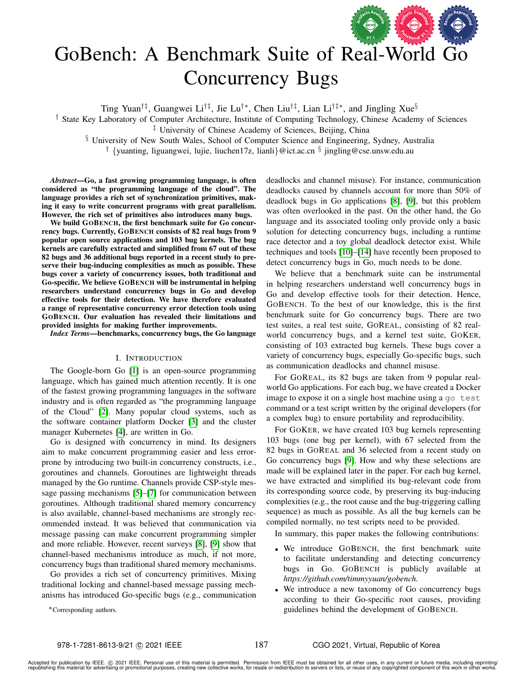

# GoBench: A Benchmark Suite of Real-World Go Concurrency Bugs

Ting Yuan<sup>†‡</sup>, Guangwei Li<sup>†‡</sup>, Jie Lu<sup>†</sup>\*, Chen Liu<sup>†‡</sup>, Lian Li<sup>†‡</sup>\*, and Jingling Xue<sup>§</sup>

† State Key Laboratory of Computer Architecture, Institute of Computing Technology, Chinese Academy of Sciences

§ University of New South Wales, School of Computer Science and Engineering, Sydney, Australia

<sup>†</sup> {yuanting, liguangwei, lujie, liuchen17z, lianli}@ict.ac.cn <sup>§</sup> jingling@cse.unsw.edu.au

*Abstract*—Go, a fast growing programming language, is often considered as "the programming language of the cloud". The language provides a rich set of synchronization primitives, making it easy to write concurrent programs with great parallelism. However, the rich set of primitives also introduces many bugs.

We build GOBENCH, the first benchmark suite for Go concurrency bugs. Currently, GOBENCH consists of 82 real bugs from 9 popular open source applications and 103 bug kernels. The bug kernels are carefully extracted and simplified from 67 out of these 82 bugs and 36 additional bugs reported in a recent study to preserve their bug-inducing complexities as much as possible. These bugs cover a variety of concurrency issues, both traditional and Go-specific. We believe GOBENCH will be instrumental in helping researchers understand concurrency bugs in Go and develop effective tools for their detection. We have therefore evaluated a range of representative concurrency error detection tools using GOBENCH. Our evaluation has revealed their limitations and provided insights for making further improvements.

*Index Terms*—benchmarks, concurrency bugs, the Go language

### I. INTRODUCTION

The Google-born Go [\[1\]](#page-11-0) is an open-source programming language, which has gained much attention recently. It is one of the fastest growing programming languages in the software industry and is often regarded as "the programming language of the Cloud" [\[2\]](#page-11-1). Many popular cloud systems, such as the software container platform Docker [\[3\]](#page-11-2) and the cluster manager Kubernetes [\[4\]](#page-11-3), are written in Go.

Go is designed with concurrency in mind. Its designers aim to make concurrent programming easier and less errorprone by introducing two built-in concurrency constructs, i.e., goroutines and channels. Goroutines are lightweight threads managed by the Go runtime. Channels provide CSP-style message passing mechanisms [\[5\]](#page-11-4)–[\[7\]](#page-11-5) for communication between goroutines. Although traditional shared memory concurrency is also available, channel-based mechanisms are strongly recommended instead. It was believed that communication via message passing can make concurrent programming simpler and more reliable. However, recent surveys [\[8\]](#page-11-6), [\[9\]](#page-11-7) show that channel-based mechanisms introduce as much, if not more, concurrency bugs than traditional shared memory mechanisms.

Go provides a rich set of concurrency primitives. Mixing traditional locking and channel-based message passing mechanisms has introduced Go-specific bugs (e.g., communication

∗Corresponding authors.

deadlocks and channel misuse). For instance, communication deadlocks caused by channels account for more than 50% of deadlock bugs in Go applications [\[8\]](#page-11-6), [\[9\]](#page-11-7), but this problem was often overlooked in the past. On the other hand, the Go language and its associated tooling only provide only a basic solution for detecting concurrency bugs, including a runtime race detector and a toy global deadlock detector exist. While techniques and tools [\[10\]](#page-11-8)–[\[14\]](#page-11-9) have recently been proposed to detect concurrency bugs in Go, much needs to be done.

We believe that a benchmark suite can be instrumental in helping researchers understand well concurrency bugs in Go and develop effective tools for their detection. Hence, GOBENCH. To the best of our knowledge, this is the first benchmark suite for Go concurrency bugs. There are two test suites, a real test suite, GOREAL, consisting of 82 realworld concurrency bugs, and a kernel test suite, GOKER, consisting of 103 extracted bug kernels. These bugs cover a variety of concurrency bugs, especially Go-specific bugs, such as communication deadlocks and channel misuse.

For GOREAL, its 82 bugs are taken from 9 popular realworld Go applications. For each bug, we have created a Docker image to expose it on a single host machine using a go test command or a test script written by the original developers (for a complex bug) to ensure portability and reproducibility.

For GOKER, we have created 103 bug kernels representing 103 bugs (one bug per kernel), with 67 selected from the 82 bugs in GOREAL and 36 selected from a recent study on Go concurrency bugs [\[9\]](#page-11-7). How and why these selections are made will be explained later in the paper. For each bug kernel, we have extracted and simplified its bug-relevant code from its corresponding source code, by preserving its bug-inducing complexities (e.g., the root cause and the bug-triggering calling sequence) as much as possible. As all the bug kernels can be compiled normally, no test scripts need to be provided.

In summary, this paper makes the following contributions:

- We introduce GOBENCH, the first benchmark suite to facilitate understanding and detecting concurrency bugs in Go. GOBENCH is publicly available at *https://github.com/timmyyuan/gobench.*
- We introduce a new taxonomy of Go concurrency bugs according to their Go-specific root causes, providing guidelines behind the development of GOBENCH.

187

<sup>‡</sup> University of Chinese Academy of Sciences, Beijing, China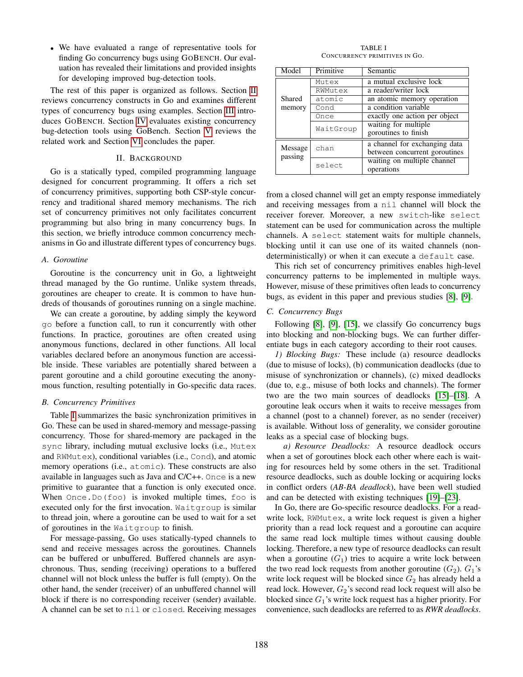• We have evaluated a range of representative tools for finding Go concurrency bugs using GOBENCH. Our evaluation has revealed their limitations and provided insights for developing improved bug-detection tools.

The rest of this paper is organized as follows. Section [II](#page-1-0) reviews concurrency constructs in Go and examines different types of concurrency bugs using examples. Section [III](#page-3-0) introduces GOBENCH. Section [IV](#page-6-0) evaluates existing concurrency bug-detection tools using GoBench. Section [V](#page-9-0) reviews the related work and Section [VI](#page-9-1) concludes the paper.

# II. BACKGROUND

<span id="page-1-0"></span>Go is a statically typed, compiled programming language designed for concurrent programming. It offers a rich set of concurrency primitives, supporting both CSP-style concurrency and traditional shared memory mechanisms. The rich set of concurrency primitives not only facilitates concurrent programming but also bring in many concurrency bugs. In this section, we briefly introduce common concurrency mechanisms in Go and illustrate different types of concurrency bugs.

## *A. Goroutine*

Goroutine is the concurrency unit in Go, a lightweight thread managed by the Go runtime. Unlike system threads, goroutines are cheaper to create. It is common to have hundreds of thousands of goroutines running on a single machine.

We can create a goroutine, by adding simply the keyword go before a function call, to run it concurrently with other functions. In practice, goroutines are often created using anonymous functions, declared in other functions. All local variables declared before an anonymous function are accessible inside. These variables are potentially shared between a parent goroutine and a child goroutine executing the anonymous function, resulting potentially in Go-specific data races.

## *B. Concurrency Primitives*

Table [I](#page-1-1) summarizes the basic synchronization primitives in Go. These can be used in shared-memory and message-passing concurrency. Those for shared-memory are packaged in the sync library, including mutual exclusive locks (i.e., Mutex and RWMutex), conditional variables (i.e., Cond), and atomic memory operations (i.e., atomic). These constructs are also available in languages such as Java and C/C++. Once is a new primitive to guarantee that a function is only executed once. When Once.Do(foo) is invoked multiple times, foo is executed only for the first invocation. Waitgroup is similar to thread join, where a goroutine can be used to wait for a set of goroutines in the Waitgroup to finish.

For message-passing, Go uses statically-typed channels to send and receive messages across the goroutines. Channels can be buffered or unbuffered. Buffered channels are asynchronous. Thus, sending (receiving) operations to a buffered channel will not block unless the buffer is full (empty). On the other hand, the sender (receiver) of an unbuffered channel will block if there is no corresponding receiver (sender) available. A channel can be set to nil or closed. Receiving messages

TABLE I CONCURRENCY PRIMITIVES IN GO.

<span id="page-1-1"></span>

| Model   | Primitive | Semantic                      |  |  |  |  |  |
|---------|-----------|-------------------------------|--|--|--|--|--|
|         | Mutex     | a mutual exclusive lock       |  |  |  |  |  |
|         | RWMutex   | a reader/writer lock          |  |  |  |  |  |
| Shared  | atomic    | an atomic memory operation    |  |  |  |  |  |
| memory  | Cond      | a condition variable          |  |  |  |  |  |
|         | Once      | exactly one action per object |  |  |  |  |  |
|         | WaitGroup | waiting for multiple          |  |  |  |  |  |
|         |           | goroutines to finish          |  |  |  |  |  |
|         |           | a channel for exchanging data |  |  |  |  |  |
| Message | chan      | between concurrent goroutines |  |  |  |  |  |
| passing | select    | waiting on multiple channel   |  |  |  |  |  |
|         |           | operations                    |  |  |  |  |  |

from a closed channel will get an empty response immediately and receiving messages from a nil channel will block the receiver forever. Moreover, a new switch-like select statement can be used for communication across the multiple channels. A select statement waits for multiple channels, blocking until it can use one of its waited channels (nondeterministically) or when it can execute a default case.

This rich set of concurrency primitives enables high-level concurrency patterns to be implemented in multiple ways. However, misuse of these primitives often leads to concurrency bugs, as evident in this paper and previous studies [\[8\]](#page-11-6), [\[9\]](#page-11-7).

## *C. Concurrency Bugs*

Following [\[8\]](#page-11-6), [\[9\]](#page-11-7), [\[15\]](#page-11-10), we classify Go concurrency bugs into blocking and non-blocking bugs. We can further differentiate bugs in each category according to their root causes.

*1) Blocking Bugs:* These include (a) resource deadlocks (due to misuse of locks), (b) communication deadlocks (due to misuse of synchronization or channels), (c) mixed deadlocks (due to, e.g., misuse of both locks and channels). The former two are the two main sources of deadlocks [\[15\]](#page-11-10)–[\[18\]](#page-11-11). A goroutine leak occurs when it waits to receive messages from a channel (post to a channel) forever, as no sender (receiver) is available. Without loss of generality, we consider goroutine leaks as a special case of blocking bugs.

*a) Resource Deadlocks:* A resource deadlock occurs when a set of goroutines block each other where each is waiting for resources held by some others in the set. Traditional resource deadlocks, such as double locking or acquiring locks in conflict orders (*AB-BA deadlock*), have been well studied and can be detected with existing techniques [\[19\]](#page-11-12)–[\[23\]](#page-11-13).

In Go, there are Go-specific resource deadlocks. For a readwrite lock, RWMutex, a write lock request is given a higher priority than a read lock request and a goroutine can acquire the same read lock multiple times without causing double locking. Therefore, a new type of resource deadlocks can result when a goroutine  $(G_1)$  tries to acquire a write lock between the two read lock requests from another goroutine  $(G_2)$ .  $G_1$ 's write lock request will be blocked since  $G_2$  has already held a read lock. However,  $G_2$ 's second read lock request will also be blocked since  $G_1$ 's write lock request has a higher priority. For convenience, such deadlocks are referred to as *RWR deadlocks*.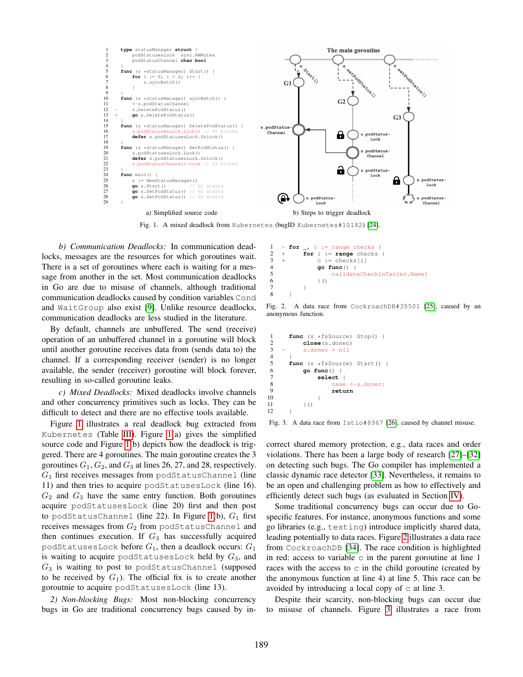

<span id="page-2-0"></span>Fig. 1. A mixed deadlock from Kubernetes (bugID Kubernetes#10182) [\[24\]](#page-11-14).

*b) Communication Deadlocks:* In communication deadlocks, messages are the resources for which goroutines wait. There is a set of goroutines where each is waiting for a message from another in the set. Most communication deadlocks in Go are due to misuse of channels, although traditional communication deadlocks caused by condition variables Cond and WaitGroup also exist [\[9\]](#page-11-7). Unlike resource deadlocks, communication deadlocks are less studied in the literature.

By default, channels are unbuffered. The send (receive) operation of an unbuffered channel in a goroutine will block until another goroutine receives data from (sends data to) the channel. If a corresponding receiver (sender) is no longer available, the sender (receiver) goroutine will block forever, resulting in so-called goroutine leaks.

*c) Mixed Deadlocks:* Mixed deadlocks involve channels and other concurrency primitives such as locks. They can be difficult to detect and there are no effective tools available.

Figure [1](#page-2-0) illustrates a real deadlock bug extracted from Kubernetes (Table [III\)](#page-3-1). Figure [1\(](#page-2-0)a) gives the simplified source code and Figure [1\(](#page-2-0)b) depicts how the deadlock is triggered. There are 4 goroutines. The main goroutine creates the 3 goroutines  $G_1$ ,  $G_2$ , and  $G_3$  at lines 26, 27, and 28, respectively.  $G_1$  first receives messages from podStatusChannel (line 11) and then tries to acquire podStatusesLock (line 16).  $G_2$  and  $G_3$  have the same entry function. Both goroutines acquire podStatusesLock (line 20) first and then post to podStatusChannel (line 22). In Figure [1\(](#page-2-0)b),  $G_1$  first receives messages from  $G_2$  from podStatusChannel and then continues execution. If  $G_3$  has successfully acquired podStatusesLock before  $G_1$ , then a deadlock occurs:  $G_1$ is waiting to acquire podStatusesLock held by  $G_3$ , and  $G_3$  is waiting to post to podStatusChannel (supposed to be received by  $G_1$ ). The official fix is to create another goroutnie to acquire podStatusesLock (line 13).

*2) Non-blocking Bugs:* Most non-blocking concurrency bugs in Go are traditional concurrency bugs caused by in-

<span id="page-2-1"></span>Fig. 2. A data race from CockroachDB#35501 [\[25\]](#page-11-15), caused by an anonymous function.

```
1 func (s *fsSource) Stop() {<br>2 close(s.donec)
 2 close(s.donec)<br>3 - s.donec = nil
           s.donec = nil\frac{4}{5}5 func (s *fsSource) Start() {<br>6 go func() {
 6 go func() {
 7 select {
 8 case <-s.donec:<br>9 return
9 return<br>10 }
10 }
11 \qquad \qquad \uparrow ()12 }
```
 $1 -$  **for**  $\cdot$  c  $:=$  range checks { 2 + **for** i := **range** checks {  $3 + c := \text{checks}[i]$ 4 **go func**() {

6 }() 7 } 8 }

5 validateCheckInTxn(&c.Name)

<span id="page-2-2"></span>Fig. 3. A data race from Istio#8967 [\[26\]](#page-11-16), caused by channel misuse.

correct shared memory protection, e.g., data races and order violations. There has been a large body of research [\[27\]](#page-11-17)–[\[32\]](#page-11-18) on detecting such bugs. The Go compiler has implemented a classic dynamic race detector [\[33\]](#page-11-19). Nevertheless, it remains to be an open and challenging problem as how to effectively and efficiently detect such bugs (as evaluated in Section [IV\)](#page-6-0).

Some traditional concurrency bugs can occur due to Gospecific features. For instance, anonymous functions and some go libraries (e.g., testing) introduce implicitly shared data, leading potentially to data races. Figure [2](#page-2-1) illustrates a data race from CockroachDB [\[34\]](#page-11-20). The race condition is highlighted in red: access to variable  $\circ$  in the parent goroutine at line 1 races with the access to  $\circ$  in the child goroutine (created by the anonymous function at line 4) at line 5. This race can be avoided by introducing a local copy of  $\circ$  at line 3.

Despite their scarcity, non-blocking bugs can occur due to misuse of channels. Figure [3](#page-2-2) illustrates a race from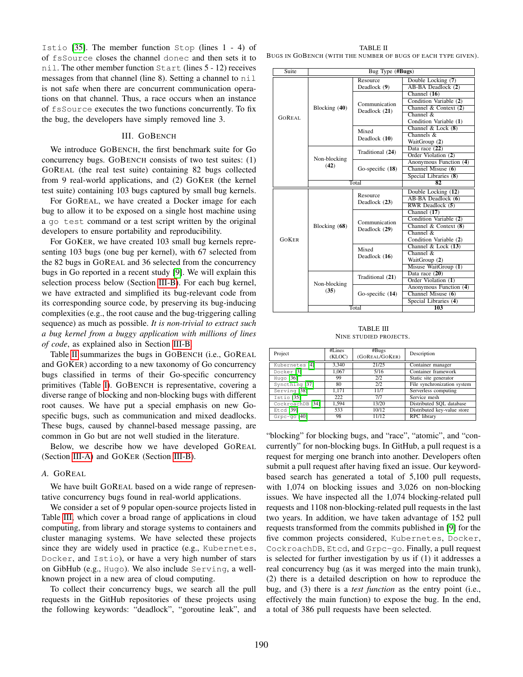Istio [\[35\]](#page-11-21). The member function Stop (lines 1 - 4) of of fsSource closes the channel donec and then sets it to nil. The other member function Start (lines 5 - 12) receives messages from that channel (line 8). Setting a channel to nil is not safe when there are concurrent communication operations on that channel. Thus, a race occurs when an instance of fsSource executes the two functions concurrently. To fix the bug, the developers have simply removed line 3.

#### III. GOBENCH

<span id="page-3-0"></span>We introduce GOBENCH, the first benchmark suite for Go concurrency bugs. GOBENCH consists of two test suites: (1) GOREAL (the real test suite) containing 82 bugs collected from 9 real-world applications, and (2) GOKER (the kernel test suite) containing 103 bugs captured by small bug kernels.

For GOREAL, we have created a Docker image for each bug to allow it to be exposed on a single host machine using a go test command or a test script written by the original developers to ensure portability and reproducibility.

For GOKER, we have created 103 small bug kernels representing 103 bugs (one bug per kernel), with 67 selected from the 82 bugs in GOREAL and 36 selected from the concurrency bugs in Go reported in a recent study [\[9\]](#page-11-7). We will explain this selection process below (Section [III-B\)](#page-4-0). For each bug kernel, we have extracted and simplified its bug-relevant code from its corresponding source code, by preserving its bug-inducing complexities (e.g., the root cause and the bug-triggering calling sequence) as much as possible. *It is non-trivial to extract such a bug kernel from a buggy application with millions of lines of code*, as explained also in Section [III-B.](#page-4-0)

Table [II](#page-3-2) summarizes the bugs in GOBENCH (i.e., GOREAL and GOKER) according to a new taxonomy of Go concurrency bugs classified in terms of their Go-specific concurrency primitives (Table [I\)](#page-1-1). GOBENCH is representative, covering a diverse range of blocking and non-blocking bugs with different root causes. We have put a special emphasis on new Gospecific bugs, such as communication and mixed deadlocks. These bugs, caused by channel-based message passing, are common in Go but are not well studied in the literature.

Below, we describe how we have developed GOREAL (Section [III-A\)](#page-3-3) and GOKER (Section [III-B\)](#page-4-0).

## <span id="page-3-3"></span>*A.* GOREAL

We have built GOREAL based on a wide range of representative concurrency bugs found in real-world applications.

We consider a set of 9 popular open-source projects listed in Table [III,](#page-3-1) which cover a broad range of applications in cloud computing, from library and storage systems to containers and cluster managing systems. We have selected these projects since they are widely used in practice (e.g., Kubernetes, Docker, and Istio), or have a very high number of stars on GibHub (e.g., Hugo). We also include Serving, a wellknown project in a new area of cloud computing.

To collect their concurrency bugs, we search all the pull requests in the GitHub repositories of these projects using the following keywords: "deadlock", "goroutine leak", and

<span id="page-3-2"></span>TABLE II BUGS IN GOBENCH (WITH THE NUMBER OF BUGS OF EACH TYPE GIVEN).

| Suite         | Bug Type (#Bugs) |                    |                         |  |  |  |  |  |  |
|---------------|------------------|--------------------|-------------------------|--|--|--|--|--|--|
|               |                  | Resource           | Double Locking (7)      |  |  |  |  |  |  |
|               |                  | Deadlock (9)       | AB-BA Deadlock (2)      |  |  |  |  |  |  |
|               |                  |                    | Channel $(16)$          |  |  |  |  |  |  |
|               |                  |                    | Condition Variable (2)  |  |  |  |  |  |  |
|               | Blocking (40)    | Communication      | Channel & Context $(2)$ |  |  |  |  |  |  |
| <b>GOREAL</b> |                  | Deadlock (21)      | Channel $\&$            |  |  |  |  |  |  |
|               |                  |                    | Condition Variable (1)  |  |  |  |  |  |  |
|               |                  | Mixed              | Channel & Lock $(8)$    |  |  |  |  |  |  |
|               |                  | Deadlock (10)      | Channels $\&$           |  |  |  |  |  |  |
|               |                  |                    | WaitGroup (2)           |  |  |  |  |  |  |
|               |                  | Traditional (24)   | Data race (22)          |  |  |  |  |  |  |
|               | Non-blocking     |                    | Order Violation (2)     |  |  |  |  |  |  |
|               | (42)             |                    | Anonymous Function (4)  |  |  |  |  |  |  |
|               |                  | Go-specific $(18)$ | Channel Misuse (6)      |  |  |  |  |  |  |
|               |                  |                    | Special Libraries (8)   |  |  |  |  |  |  |
|               |                  | Total              | 82                      |  |  |  |  |  |  |
|               |                  | Resource           | Double Locking (12)     |  |  |  |  |  |  |
|               |                  | Deadlock (23)      | AB-BA Deadlock (6)      |  |  |  |  |  |  |
|               |                  |                    | RWR Deadlock (5)        |  |  |  |  |  |  |
|               |                  |                    | Channel (17)            |  |  |  |  |  |  |
|               |                  | Communication      | Condition Variable (2)  |  |  |  |  |  |  |
|               | Blocking (68)    | Deadlock (29)      | Channel & Context $(8)$ |  |  |  |  |  |  |
|               |                  |                    | Channel &               |  |  |  |  |  |  |
| GOKER         |                  |                    | Condition Variable (2)  |  |  |  |  |  |  |
|               |                  | Mixed              | Channel & Lock $(13)$   |  |  |  |  |  |  |
|               |                  | Deadlock (16)      | Channel $\&$            |  |  |  |  |  |  |
|               |                  |                    | WaitGroup (2)           |  |  |  |  |  |  |
|               |                  |                    | Misuse WaitGroup (1)    |  |  |  |  |  |  |
|               |                  | Traditional (21)   | Data race (20)          |  |  |  |  |  |  |
|               | Non-blocking     |                    | Order Violation (1)     |  |  |  |  |  |  |
|               | (35)             |                    | Anonymous Function (4)  |  |  |  |  |  |  |
|               |                  | Go-specific $(14)$ | Channel Misuse (6)      |  |  |  |  |  |  |
|               |                  |                    | Special Libraries (4)   |  |  |  |  |  |  |
|               |                  | Total              | 103                     |  |  |  |  |  |  |

TABLE III NINE STUDIED PROJECTS.

<span id="page-3-1"></span>

| Project               | #Lines<br>(KLOC) | #Bugs<br>(GOREAL/GOKER) | Description                 |
|-----------------------|------------------|-------------------------|-----------------------------|
| Kubernetes [4]        | 3.340            | 21/25                   | Container manager           |
| Docker <sup>[3]</sup> | 1.067            | 5/16                    | Container framework         |
| Hugo $[36]$           | 99               | 2/2                     | Static site generator       |
| Syncthing [37]        | 80               | 2/2                     | File synchronization system |
| Serving [38]          | 1.171            | 11/7                    | Serverless computing        |
| Istio <sup>[35]</sup> | 222              | 7/7                     | Service mesh                |
| CockroachDB [34]      | 1.594            | 13/20                   | Distributed SQL database    |
| Etcd [39]             | 533              | 10/12                   | Distributed key-value store |
| $G$ rpc-qo $[40]$     | 98               | 11/12                   | RPC library                 |

"blocking" for blocking bugs, and "race", "atomic", and "concurrently" for non-blocking bugs. In GitHub, a pull request is a request for merging one branch into another. Developers often submit a pull request after having fixed an issue. Our keywordbased search has generated a total of 5,100 pull requests, with 1,074 on blocking issues and 3,026 on non-blocking issues. We have inspected all the 1,074 blocking-related pull requests and 1108 non-blocking-related pull requests in the last two years. In addition, we have taken advantage of 152 pull requests transformed from the commits published in [\[9\]](#page-11-7) for the five common projects considered, Kubernetes, Docker, CockroachDB, Etcd, and Grpc-go. Finally, a pull request is selected for further investigation by us if (1) it addresses a real concurrency bug (as it was merged into the main trunk), (2) there is a detailed description on how to reproduce the bug, and (3) there is a *test function* as the entry point (i.e., effectively the main function) to expose the bug. In the end, a total of 386 pull requests have been selected.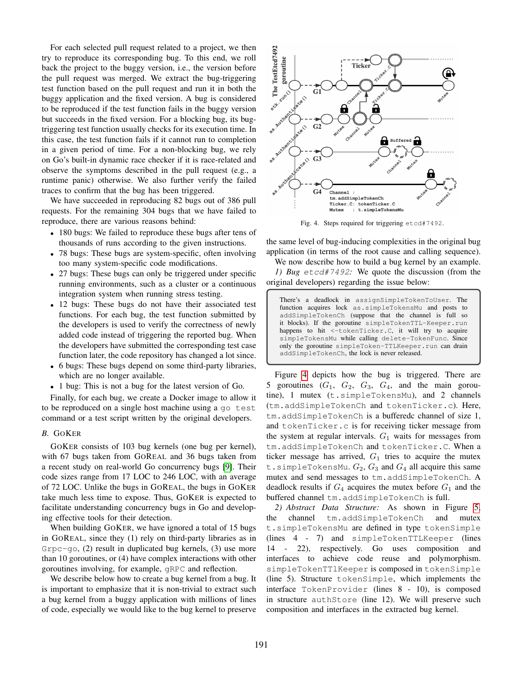For each selected pull request related to a project, we then try to reproduce its corresponding bug. To this end, we roll back the project to the buggy version, i.e., the version before the pull request was merged. We extract the bug-triggering test function based on the pull request and run it in both the buggy application and the fixed version. A bug is considered to be reproduced if the test function fails in the buggy version but succeeds in the fixed version. For a blocking bug, its bugtriggering test function usually checks for its execution time. In this case, the test function fails if it cannot run to completion in a given period of time. For a non-blocking bug, we rely on Go's built-in dynamic race checker if it is race-related and observe the symptoms described in the pull request (e.g., a runtime panic) otherwise. We also further verify the failed traces to confirm that the bug has been triggered.

We have succeeded in reproducing 82 bugs out of 386 pull requests. For the remaining 304 bugs that we have failed to reproduce, there are various reasons behind:

- 180 bugs: We failed to reproduce these bugs after tens of thousands of runs according to the given instructions.
- 78 bugs: These bugs are system-specific, often involving too many system-specific code modifications.
- 27 bugs: These bugs can only be triggered under specific running environments, such as a cluster or a continuous integration system when running stress testing.
- 12 bugs: These bugs do not have their associated test functions. For each bug, the test function submitted by the developers is used to verify the correctness of newly added code instead of triggering the reported bug. When the developers have submitted the corresponding test case function later, the code repository has changed a lot since.
- 6 bugs: These bugs depend on some third-party libraries, which are no longer available.
- 1 bug: This is not a bug for the latest version of Go.

Finally, for each bug, we create a Docker image to allow it to be reproduced on a single host machine using a go test command or a test script written by the original developers.

## <span id="page-4-0"></span>*B.* GOKER

GOKER consists of 103 bug kernels (one bug per kernel), with 67 bugs taken from GOREAL and 36 bugs taken from a recent study on real-world Go concurrency bugs [\[9\]](#page-11-7). Their code sizes range from 17 LOC to 246 LOC, with an average of 72 LOC. Unlike the bugs in GOREAL, the bugs in GOKER take much less time to expose. Thus, GOKER is expected to facilitate understanding concurrency bugs in Go and developing effective tools for their detection.

When building GOKER, we have ignored a total of 15 bugs in GOREAL, since they (1) rely on third-party libraries as in  $G$ rpc $-g$ o, (2) result in duplicated bug kernels, (3) use more than 10 goroutines, or (4) have complex interactions with other goroutines involving, for example, gRPC and reflection.

We describe below how to create a bug kernel from a bug. It is important to emphasize that it is non-trivial to extract such a bug kernel from a buggy application with millions of lines of code, especially we would like to the bug kernel to preserve



<span id="page-4-1"></span>Fig. 4. Steps required for triggering etcd#7492.

the same level of bug-inducing complexities in the original bug application (in terms of the root cause and calling sequence).

We now describe how to build a bug kernel by an example. *1) Bug* etcd#7492*:* We quote the discussion (from the original developers) regarding the issue below:

There's a deadlock in assignSimpleTokenToUser. The function acquires lock as.simpleTokensMu and posts to addSimpleTokenCh (suppose that the channel is full so it blocks). If the goroutine simpleTokenTTL-Keeper.run happens to hit <- tokenTicker.C, it will try to acquire simpleTokensMu while calling delete-TokenFunc. Since only the goroutine simpleToken-TTLKeeper.run can drain addSimpleTokenCh, the lock is never released.

Figure [4](#page-4-1) depicts how the bug is triggered. There are 5 goroutines  $(G_1, G_2, G_3, G_4,$  and the main goroutine), 1 mutex (t.simpleTokensMu), and 2 channels (tm.addSimpleTokenCh and tokenTicker.c). Here, tm.addSimpleTokenCh is a bufferedc channel of size 1, and tokenTicker.c is for receiving ticker message from the system at regular intervals.  $G_1$  waits for messages from tm.addSimpleTokenCh and tokenTicker.C. When a ticker message has arrived,  $G_1$  tries to acquire the mutex t.simpleTokensMu.  $G_2$ ,  $G_3$  and  $G_4$  all acquire this same mutex and send messages to tm.addSimpleTokenCh. A deadlock results if  $G_4$  acquires the mutex before  $G_1$  and the buffered channel tm.addSimpleTokenCh is full.

*2) Abstract Data Structure:* As shown in Figure [5,](#page-5-0) the channel tm.addSimpleTokenCh and mutex t.simpleTokensMu are defined in type tokenSimple (lines 4 - 7) and simpleTokenTTLKeeper (lines 14 - 22), respectively. Go uses composition and interfaces to achieve code reuse and polymorphism. simpleTokenTTlKeeper is composed in tokenSimple (line 5). Structure tokenSimple, which implements the interface TokenProvider (lines 8 - 10), is composed in structure authStore (line 12). We will preserve such composition and interfaces in the extracted bug kernel.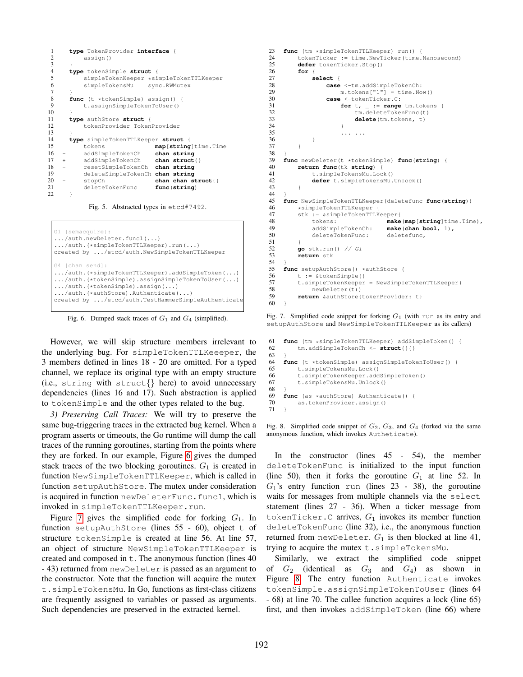```
1 type TokenProvider interface {
           assign()
\frac{3}{4}4 type tokenSimple struct {
 5 simpleTokenKeeper *simpleTokenTTLKeeper<br>6 simpleTokensMu sync.RWMutex
           simpleTokensMu
 _8^78 func (t *tokenSimple) assign() {<br>9 t.assignSimpleTokenToUser()
           9 t.assignSimpleTokenToUser()
\begin{array}{c} 10 \\ 11 \end{array}11 type authStore struct {
           tokenProvider TokenProvider
13 }
14 type simpleTokenTTLKeeper struct {
15 tokens map[string]time.Time
16 - addSimpleTokenCh<br>17 + addSimpleTokenCh
17 + addSimpleTokenCh chan struct{}
18 - resetSimpleTokenCh chan string
19 - deleteSimpleTokenCh chan string
20 - stopCh chan chan struct{}<br>21 deleteTokenFunc func(string)
           21 deleteTokenFunc func(string)
22 }
```
<span id="page-5-0"></span>

```
G1 [semacquire]:
.../auth.newDeleter.func1(...)
.../auth.(*simpleTokenTTLKeeper).run(...)
created by .../etcd/auth.NewSimpleTokenTTLKeeper
G4 [chan send]:
.../auth.(*simpleTokenTTLKeeper).addSimpleToken(...)
.../auth.(*tokenSimple).assignSimpleTokenToUser(...)
.../auth.(*tokenSimple).assign(...)
.../auth.(*authStore).Authenticate(...)
created by .../etcd/auth.TestHammerSimpleAuthenticate
```
<span id="page-5-1"></span>Fig. 6. Dumped stack traces of  $G_1$  and  $G_4$  (simplified).

However, we will skip structure members irrelevant to the underlying bug. For simpleTokenTTLKeeeper, the 3 members defined in lines 18 - 20 are omitted. For a typed channel, we replace its original type with an empty structure (i.e., string with struct{} here) to avoid unnecessary dependencies (lines 16 and 17). Such abstraction is applied to tokenSimple and the other types related to the bug.

*3) Preserving Call Traces:* We will try to preserve the same bug-triggering traces in the extracted bug kernel. When a program asserts or timeouts, the Go runtime will dump the call traces of the running goroutines, starting from the points where they are forked. In our example, Figure [6](#page-5-1) gives the dumped stack traces of the two blocking goroutines.  $G_1$  is created in function NewSimpleTokenTTLKeeper, which is called in function setupAuthStore. The mutex under consideration is acquired in function newDeleterFunc.func1, which is invoked in simpleTokenTTLKeeper.run.

Figure [7](#page-5-2) gives the simplified code for forking  $G_1$ . In function setupAuthStore (lines 55 - 60), object t of structure tokenSimple is created at line 56. At line 57, an object of structure NewSimpleTokenTTLKeeper is created and composed in  $t$ . The anonymous function (lines 40 - 43) returned from newDeleter is passed as an argument to the constructor. Note that the function will acquire the mutex t.simpleTokensMu. In Go, functions as first-class citizens are frequently assigned to variables or passed as arguments. Such dependencies are preserved in the extracted kernel.

```
23 func (tm *simpleTokenTTLKeeper) run() {<br>24 tokenTicker := time NewTicker(time)
24 tokenTicker := time.NewTicker(time.Nanosecond)<br>25 defer tokenTicker Stop()
25 defer tokenTicker.Stop()<br>26 for {
26 for {
27 select {
28 case <-tm.addSimpleTokenCh:<br>29 m.tokens["1"] = time.No
29 m. tokens["1"] = time. Now ()<br>30 case <-tokenTicker.C:
                       30 case <-tokenTicker.C:
31 for t, = range \tanctan t {<br>32 \tanctanctan t \neq t \neq t \neq t \neq t \neq t \neq t \neq t \neq t \neq t \neq t \neq t \neq t \neq t \neq t \neq t \neq t \neq 
32 tm.deleteTokenFunc(t)<br>33 delete(tm.tokens, t)
33 delete(tm.tokens, t)
34 }
\frac{35}{36} ... ...
36 }
37 }
38 }
39 func newDeleter(t *tokenSimple) func(string) {
40 return func(tk string) {<br>41 t.simpleTokensMu.Loc
41 t.simpleTokensMu.Lock()<br>42 defer t.simpleTokensMu.
                 42 defer t.simpleTokensMu.Unlock()
43 }
44<br>45
45 func NewSimpleTokenTTLKeeper(deletefunc func(string))
46 *simpleTokenTTLKeeper {<br>47 *k = &simpleTokenTTLK
47 stk := &simpleTokenTTLKeeper{<br>48 tokens: make
48 tokens:<br>
\begin{array}{ll}\n & \text{make}(\text{map}[\text{string}] \text{time}. \text{Time})\,, \\
49 \quad & \text{addSimpleTokenCh}: \quad \text{make}(\text{chan bool}, 1)\,,\n\end{array}49 addSimpleTokenCh: make(chan bool, 1),
                 deleteTokenFunc: deletefunc,
\begin{array}{ccc} 51 & & & \\ 52 & & & \end{array}52 go stk.run() // G1
           53 return stk
54 }
55 func setupAuthStore () *authStore {<br>56 t := &tokenSimple {}
56 t := &tokenSimple{}<br>57 t.simpleTokenKeeper
57 t.simpleTokenKeeper = NewSimpleTokenTTLKeeper(<br>58 newDeleter(t))
58 newDeleter(t))<br>59 return & authStore{
           59 return &authStore{tokenProvider: t}
60 \rightarrow
```
<span id="page-5-2"></span>Fig. 7. Simplified code snippet for forking  $G_1$  (with run as its entry and setupAuthStore and NewSimpleTokenTTLKeeper as its callers)

```
61 func (tm *simpleTokenTTLKeeper) addSimpleToken() {<br>62 tm.addSimpleTokenCh <- struct{}{}
          62 tm.addSimpleTokenCh <- struct{}{}
63 }
64 func (t *tokenSimple) assignSimpleTokenToUser() {
          65 t.simpleTokensMu.Lock()
66 t.simpleTokenKeeper.addSimpleToken()
67 t.simpleTokensMu.Unlock()
68 }
69 func (as *authStore) Authenticate() {<br>70 as tokenProvider assign()
          as.tokenProvider.assign()
71 }
```
<span id="page-5-3"></span>Fig. 8. Simplified code snippet of  $G_2$ ,  $G_3$ , and  $G_4$  (forked via the same anonymous function, which invokes Autheticate).

In the constructor (lines 45 - 54), the member deleteTokenFunc is initialized to the input function (line 50), then it forks the goroutine  $G_1$  at line 52. In  $G_1$ 's entry function run (lines 23 - 38), the goroutine waits for messages from multiple channels via the select statement (lines 27 - 36). When a ticker message from tokenTicker.C arrives,  $G_1$  invokes its member function deleteTokenFunc (line 32), i.e., the anonymous function returned from newDeleter.  $G_1$  is then blocked at line 41, trying to acquire the mutex t.simpleTokensMu.

Similarly, we extract the simplified code snippet of  $G_2$  (identical as  $G_3$  and  $G_4$ ) as shown in Figure [8.](#page-5-3) The entry function Authenticate invokes tokenSimple.assignSimpleTokenToUser (lines 64 - 68) at line 70. The callee function acquires a lock (line 65) first, and then invokes addSimpleToken (line 66) where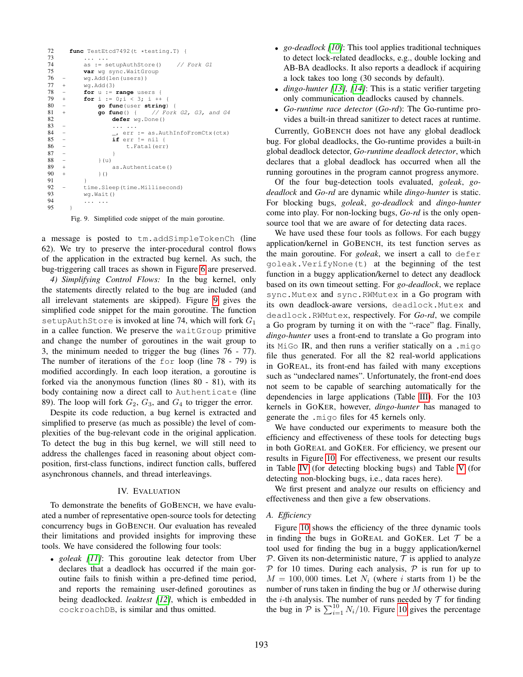```
72 func TestEtcd7492(t *testing.T) {<br>73 ......
73 ... ...
74 as := setupAuthStore() // Fork G1<br>75 var wg sync.WaitGroup
75 var wg sync.WaitGroup<br>76 - wg.Add(len(users))
76 - wg. Add (len (users))<br>77 + wg. Add (3)
77 + wg. Add(3)<br>
78 - for u :=78 - for u := range users {<br>79 + for i := 0;i < 3; i ++
             for i := 0; i < 3; i ++80 - go func (user string)<br>81 + go func () { // Fo
                                      // Fork G2, G3, and G4
82 defer wg.Done()<br>83 - ... ...
                        83 - ... ...
84 - \_\_\_ \text{eff} \text{ err} := \text{as}.\text{AuthorToFromCtx}(\text{ctx})<br>85 - \text{if} \text{err} := \text{nil} \ \{if err != nil86 - t.Fatal(err)<br>87 - t87 -88 - } (u)<br>89 +89 + as.Authenticate()<br>90 + \} ( )
91<br>92
92 - time.Sleep(time.Millisecond)<br>93 wg.Wait()
93 wg.Wait()
             94 ... ...
95 }
```
<span id="page-6-1"></span>Fig. 9. Simplified code snippet of the main goroutine.

a message is posted to tm.addSimpleTokenCh (line 62). We try to preserve the inter-procedural control flows of the application in the extracted bug kernel. As such, the bug-triggering call traces as shown in Figure [6](#page-5-1) are preserved.

*4) Simplifying Control Flows:* In the bug kernel, only the statements directly related to the bug are included (and all irrelevant statements are skipped). Figure [9](#page-6-1) gives the simplified code snippet for the main goroutine. The function setupAuthStore is invoked at line 74, which will fork  $G_1$ in a callee function. We preserve the waitGroup primitive and change the number of goroutines in the wait group to 3, the minimum needed to trigger the bug (lines 76 - 77). The number of iterations of the for loop (line 78 - 79) is modified accordingly. In each loop iteration, a goroutine is forked via the anonymous function (lines 80 - 81), with its body containing now a direct call to Authenticate (line 89). The loop will fork  $G_2$ ,  $G_3$ , and  $G_4$  to trigger the error.

Despite its code reduction, a bug kernel is extracted and simplified to preserve (as much as possible) the level of complexities of the bug-relevant code in the original application. To detect the bug in this bug kernel, we will still need to address the challenges faced in reasoning about object composition, first-class functions, indirect function calls, buffered asynchronous channels, and thread interleavings.

#### IV. EVALUATION

<span id="page-6-0"></span>To demonstrate the benefits of GOBENCH, we have evaluated a number of representative open-source tools for detecting concurrency bugs in GOBENCH. Our evaluation has revealed their limitations and provided insights for improving these tools. We have considered the following four tools:

• *goleak [\[11\]](#page-11-27)*: This goroutine leak detector from Uber declares that a deadlock has occurred if the main goroutine fails to finish within a pre-defined time period, and reports the remaining user-defined goroutines as being deadlocked. *leaktest [\[12\]](#page-11-28)*, which is embedded in cockroachDB, is similar and thus omitted.

- *go-deadlock [\[10\]](#page-11-8)*: This tool applies traditional techniques to detect lock-related deadlocks, e.g., double locking and AB-BA deadlocks. It also reports a deadlock if acquiring a lock takes too long (30 seconds by default).
- *dingo-hunter [\[13\]](#page-11-29), [\[14\]](#page-11-9)*: This is a static verifier targeting only communication deadlocks caused by channels.
- *Go-runtime race detector* (*Go-rd*): The Go-runtime provides a built-in thread sanitizer to detect races at runtime.

Currently, GOBENCH does not have any global deadlock bug. For global deadlocks, the Go-runtime provides a built-in global deadlock detector, *Go-runtime deadlock detector*, which declares that a global deadlock has occurred when all the running goroutines in the program cannot progress anymore.

Of the four bug-detection tools evaluated, *goleak*, *godeadlock* and *Go-rd* are dynamic while *dingo-hunter* is static. For blocking bugs, *goleak*, *go-deadlock* and *dingo-hunter* come into play. For non-locking bugs, *Go-rd* is the only opensource tool that we are aware of for detecting data races.

We have used these four tools as follows. For each buggy application/kernel in GOBENCH, its test function serves as the main goroutine. For *goleak*, we insert a call to defer goleak.VerifyNone(t) at the beginning of the test function in a buggy application/kernel to detect any deadlock based on its own timeout setting. For *go-deadlock*, we replace sync.Mutex and sync.RWMutex in a Go program with its own deadlock-aware versions, deadlock.Mutex and deadlock.RWMutex, respectively. For *Go-rd*, we compile a Go program by turning it on with the "-race" flag. Finally, *dingo-hunter* uses a front-end to translate a Go program into its MiGo IR, and then runs a verifier statically on a .migo file thus generated. For all the 82 real-world applications in GOREAL, its front-end has failed with many exceptions such as "undeclared names". Unfortunately, the front-end does not seem to be capable of searching automatically for the dependencies in large applications (Table [III\)](#page-3-1). For the 103 kernels in GOKER, however, *dingo-hunter* has managed to generate the .migo files for 45 kernels only.

We have conducted our experiments to measure both the efficiency and effectiveness of these tools for detecting bugs in both GOREAL and GOKER. For efficiency, we present our results in Figure [10.](#page-7-0) For effectiveness, we present our results in Table [IV](#page-7-1) (for detecting blocking bugs) and Table [V](#page-7-2) (for detecting non-blocking bugs, i.e., data races here).

We first present and analyze our results on efficiency and effectiveness and then give a few observations.

#### *A. Efficiency*

Figure [10](#page-7-0) shows the efficiency of the three dynamic tools in finding the bugs in GOREAL and GOKER. Let  $\mathcal T$  be a tool used for finding the bug in a buggy application/kernel P. Given its non-deterministic nature,  $\tau$  is applied to analyze  $P$  for 10 times. During each analysis,  $P$  is run for up to  $M = 100,000$  times. Let  $N_i$  (where i starts from 1) be the number of runs taken in finding the bug or M otherwise during the *i*-th analysis. The number of runs needed by  $T$  for finding the bug in  $\overline{P}$  is  $\sum_{i=1}^{10} N_i/10$ . Figure [10](#page-7-0) gives the percentage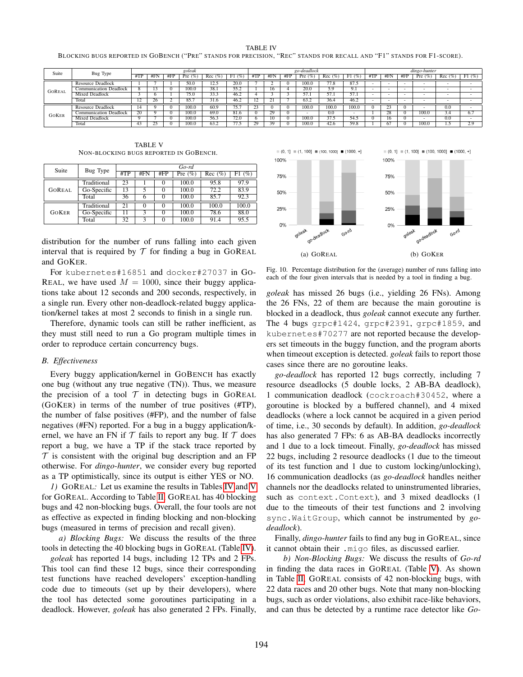<span id="page-7-1"></span>BLOCKING BUGS REPORTED IN GOBENCH ("PRE" STANDS FOR PRECISION, "REC" STANDS FOR RECALL AND "F1" STANDS FOR F1-SCORE).

| Suite         | Bug Type                      | goleak         |     |        |       |            | go-deadlock            |    |     |     |       | dingo-hunter |           |     |                             |     |           |          |                    |
|---------------|-------------------------------|----------------|-----|--------|-------|------------|------------------------|----|-----|-----|-------|--------------|-----------|-----|-----------------------------|-----|-----------|----------|--------------------|
|               |                               | #TP            | #Fr | # $FP$ | Pre   | Rec<br>(9) | F1<br>$\cdot$ $\alpha$ |    | #FN | #FP | Pre   | Rec          | (%<br>F1. | #TP | #FN                         | #FP | Pre $(\%$ | Rec (%)  | F1(%)              |
|               | Resource Deadlock             |                |     |        | 50.0  | 12.:       | 20.0                   |    |     |     | 100.0 | 77.8         | 87.5      |     |                             | -   |           |          |                    |
| <b>GOREAL</b> | <b>Communication Deadlock</b> |                |     |        | 100.0 | 38.1       | 55.2                   |    | 16  |     | 20.0  | 5.9          | 7.1       |     |                             | -   |           |          |                    |
|               | <b>Mixed Deadlock</b>         |                |     |        | 75.0  | 33.3       | 46.2                   |    |     |     |       | 57.          | 57.1      |     |                             |     |           |          |                    |
|               | Total                         | $\overline{ }$ | 26  |        | 85.7  | 31.6       | 46.2                   | 14 |     |     |       | 36.4         | 46.2      |     |                             | -   |           |          |                    |
| <b>GOKER</b>  | Resource Deadlock             | 14             |     |        | 100.0 | 60.9       | 75                     | رے |     |     | 100.0 | 100.0        | 100.6     |     |                             |     |           | $_{0.0}$ |                    |
|               | <b>Communication Deadlock</b> | 20             |     |        | 100.0 | 69.0       | 81.6                   |    |     |     |       | 0.0          |           |     | $\overline{20}$<br>$\angle$ |     | 100.0     |          | 6.                 |
|               | Mixed Deadlock                |                |     |        | 100.0 | 56.3       | 72.0                   |    | 10  |     | 100.0 | 37.5         | 54.3      |     | o                           |     |           | 0.0      |                    |
|               | Total                         | 43             |     |        | 100.0 | 63.2       |                        |    | 20  |     | 100.0 | 42.6         | 59.8      |     |                             |     | 100.0     |          | 20<br><u>، ، ،</u> |

TABLE V NON-BLOCKING BUGS REPORTED IN GOBENCH.

<span id="page-7-2"></span>

| Suite         | Bug Type    | $Go-rd$ |     |          |                       |           |           |  |  |  |  |
|---------------|-------------|---------|-----|----------|-----------------------|-----------|-----------|--|--|--|--|
|               |             | #TP     | #FN | #FP      | Pre $\overline{(\%)}$ | $Rec$ (%) | F1<br>(%) |  |  |  |  |
| <b>GOREAL</b> | Traditional | 23      |     | 0        | 100.0                 | 95.8      | 97.9      |  |  |  |  |
|               | Go-Specific | 13      | 5   | $\Omega$ | 100.0                 | 72.2      | 83.9      |  |  |  |  |
|               | Total       | 36      |     |          | 100.0                 | 85.7      | 92.3      |  |  |  |  |
| <b>GOKER</b>  | Traditional | 21      |     | $\Omega$ | 100.0                 | 100.0     | 100.0     |  |  |  |  |
|               | Go-Specific |         | 3   | $\Omega$ | 100.0                 | 78.6      | 88.0      |  |  |  |  |
|               | Total       | 32      |     | $\theta$ | 100.0                 | 91.4      | 95.5      |  |  |  |  |

distribution for the number of runs falling into each given interval that is required by  $T$  for finding a bug in GOREAL and GOKER.

For kubernetes#16851 and docker#27037 in GO-REAL, we have used  $M = 1000$ , since their buggy applications take about 12 seconds and 200 seconds, respectively, in a single run. Every other non-deadlock-related buggy application/kernel takes at most 2 seconds to finish in a single run.

Therefore, dynamic tools can still be rather inefficient, as they must still need to run a Go program multiple times in order to reproduce certain concurrency bugs.

## *B. Effectiveness*

Every buggy application/kernel in GOBENCH has exactly one bug (without any true negative (TN)). Thus, we measure the precision of a tool  $\mathcal T$  in detecting bugs in GOREAL (GOKER) in terms of the number of true positives (#TP), the number of false positives (#FP), and the number of false negatives (#FN) reported. For a bug in a buggy application/kernel, we have an FN if  $T$  fails to report any bug. If  $T$  does report a bug, we have a TP if the stack trace reported by  $\mathcal T$  is consistent with the original bug description and an FP otherwise. For *dingo-hunter*, we consider every bug reported as a TP optimistically, since its output is either YES or NO.

*1)* GOREAL*:* Let us examine the results in Tables [IV](#page-7-1) and [V](#page-7-2) for GOREAL. According to Table [II,](#page-3-2) GOREAL has 40 blocking bugs and 42 non-blocking bugs. Overall, the four tools are not as effective as expected in finding blocking and non-blocking bugs (measured in terms of precision and recall given).

*a) Blocking Bugs:* We discuss the results of the three tools in detecting the 40 blocking bugs in GOREAL (Table [IV\)](#page-7-1).

*goleak* has reported 14 bugs, including 12 TPs and 2 FPs. This tool can find these 12 bugs, since their corresponding test functions have reached developers' exception-handling code due to timeouts (set up by their developers), where the tool has detected some goroutines participating in a deadlock. However, *goleak* has also generated 2 FPs. Finally,



<span id="page-7-0"></span>Fig. 10. Percentage distribution for the (average) number of runs falling into each of the four given intervals that is needed by a tool in finding a bug.

*goleak* has missed 26 bugs (i.e., yielding 26 FNs). Among the 26 FNs, 22 of them are because the main goroutine is blocked in a deadlock, thus *goleak* cannot execute any further. The 4 bugs grpc#1424, grpc#2391, grpc#1859, and kubernetes#70277 are not reported because the developers set timeouts in the buggy function, and the program aborts when timeout exception is detected. *goleak* fails to report those cases since there are no goroutine leaks.

*go-deadlock* has reported 12 bugs correctly, including 7 resource dseadlocks (5 double locks, 2 AB-BA deadlock), 1 communication deadlock (cockroach#30452, where a goroutine is blocked by a buffered channel), and 4 mixed deadlocks (where a lock cannot be acquired in a given period of time, i.e., 30 seconds by default). In addition, *go-deadlock* has also generated 7 FPs: 6 as AB-BA deadlocks incorrectly and 1 due to a lock timeout. Finally, *go-deadlock* has missed 22 bugs, including 2 resource deadlocks (1 due to the timeout of its test function and 1 due to custom locking/unlocking), 16 communication deadlocks (as *go-deadlock* handles neither channels nor the deadlocks related to uninstrumented libraries, such as context.Context), and 3 mixed deadlocks (1 due to the timeouts of their test functions and 2 involving sync.WaitGroup, which cannot be instrumented by *godeadlock*).

Finally, *dingo-hunter* fails to find any bug in GOREAL, since it cannot obtain their .migo files, as discussed earlier.

<span id="page-7-3"></span>*b) Non-Blocking Bugs:* We discuss the results of *Go-rd* in finding the data races in GOREAL (Table [V\)](#page-7-2). As shown in Table [II,](#page-3-2) GOREAL consists of 42 non-blocking bugs, with 22 data races and 20 other bugs. Note that many non-blocking bugs, such as order violations, also exhibit race-like behaviors, and can thus be detected by a runtime race detector like *Go-*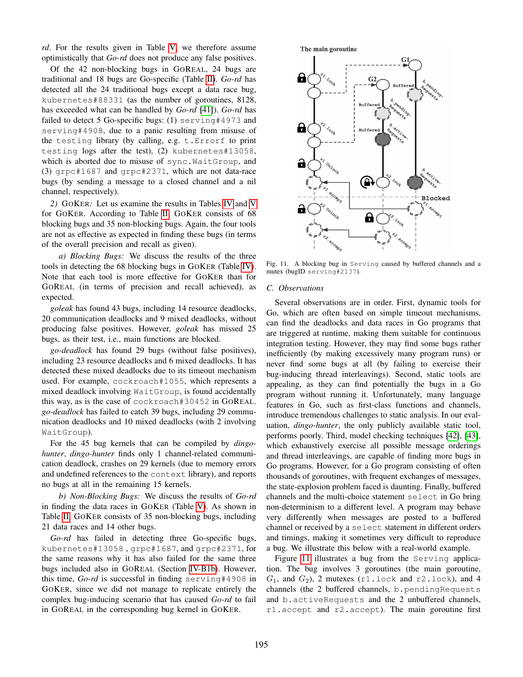*rd*. For the results given in Table [V,](#page-7-2) we therefore assume optimistically that *Go-rd* does not produce any false positives.

Of the 42 non-blocking bugs in GOREAL, 24 bugs are traditional and 18 bugs are Go-specific (Table [II\)](#page-3-2). *Go-rd* has detected all the 24 traditional bugs except a data race bug, kubernetes#88331 (as the number of goroutines, 8128, has exceeded what can be handled by *Go-rd* [\[41\]](#page-11-30)). *Go-rd* has failed to detect 5 Go-specific bugs: (1) serving#4973 and serving#4908, due to a panic resulting from misuse of the testing library (by calling, e.g. t.Errorf to print testing logs after the test), (2) kubernetes#13058, which is aborted due to misuse of sync.WaitGroup, and (3) grpc#1687 and grpc#2371, which are not data-race bugs (by sending a message to a closed channel and a nil channel, respectively).

*2)* GOKER*:* Let us examine the results in Tables [IV](#page-7-1) and [V](#page-7-2) for GOKER. According to Table [II,](#page-3-2) GOKER consists of 68 blocking bugs and 35 non-blocking bugs. Again, the four tools are not as effective as expected in finding these bugs (in terms of the overall precision and recall as given).

*a) Blocking Bugs:* We discuss the results of the three tools in detecting the 68 blocking bugs in GOKER (Table [IV\)](#page-7-1). Note that each tool is more effective for GOKER than for GOREAL (in terms of precision and recall achieved), as expected.

*goleak* has found 43 bugs, including 14 resource deadlocks, 20 communication deadlocks and 9 mixed deadlocks, without producing false positives. However, *goleak* has missed 25 bugs, as their test, i.e., main functions are blocked.

*go-deadlock* has found 29 bugs (without false positives), including 23 resource deadlocks and 6 mixed deadlocks. It has detected these mixed deadlocks due to its timeout mechanism used. For example, cockroach#1055, which represents a mixed deadlock involving WaitGroup, is found accidentally this way, as is the case of cockroach#30452 in GOREAL. *go-deadlock* has failed to catch 39 bugs, including 29 communication deadlocks and 10 mixed deadlocks (with 2 involving WaitGroup).

For the 45 bug kernels that can be compiled by *dingohunter*, *dingo-hunter* finds only 1 channel-related communication deadlock, crashes on 29 kernels (due to memory errors and undefined references to the context library), and reports no bugs at all in the remaining 15 kernels.

*b) Non-Blocking Bugs:* We discuss the results of *Go-rd* in finding the data races in GOKER (Table [V\)](#page-7-2). As shown in Table [II,](#page-3-2) GOKER consists of 35 non-blocking bugs, including 21 data races and 14 other bugs.

*Go-rd* has failed in detecting three Go-specific bugs, kubernetes#13058 , grpc#1687, and grpc#2371, for the same reasons why it has also failed for the same three bugs included also in GOREAL (Section [IV-B1b\)](#page-7-3). However, this time, *Go-rd* is successful in finding serving#4908 in GOKER, since we did not manage to replicate entirely the complex bug-inducing scenario that has caused *Go-rd* to fail in GOREAL in the corresponding bug kernel in GOKER.



<span id="page-8-0"></span>Fig. 11. A blocking bug in Serving caused by buffered channels and a mutex (bugID serving#2137).

#### *C. Observations*

Several observations are in order. First, dynamic tools for Go, which are often based on simple timeout mechanisms, can find the deadlocks and data races in Go programs that are triggered at runtime, making them suitable for continuous integration testing. However, they may find some bugs rather inefficiently (by making excessively many program runs) or never find some bugs at all (by failing to exercise their bug-inducing thread interleavings). Second, static tools are appealing, as they can find potentially the bugs in a Go program without running it. Unfortunately, many language features in Go, such as first-class functions and channels, introduce tremendous challenges to static analysis. In our evaluation, *dingo-hunter*, the only publicly available static tool, performs poorly. Third, model checking techniques [\[42\]](#page-11-31), [\[43\]](#page-11-32), which exhaustively exercise all possible message orderings and thread interleavings, are capable of finding more bugs in Go programs. However, for a Go program consisting of often thousands of goroutines, with frequent exchanges of messages, the state-explosion problem faced is daunting. Finally, buffered channels and the multi-choice statement select in Go bring non-determinism to a different level. A program may behave very differently when messages are posted to a buffered channel or received by a select statement in different orders and timings, making it sometimes very difficult to reproduce a bug. We illustrate this below with a real-world example.

Figure [11](#page-8-0) illustrates a bug from the Serving application. The bug involves 3 goroutines (the main goroutine,  $G_1$ , and  $G_2$ ), 2 mutexes (r1.lock and r2.lock), and 4 channels (the 2 buffered channels, b.pendingRequests and b.activeRequests and the 2 unbuffered channels, r1.accept and r2.accept). The main goroutine first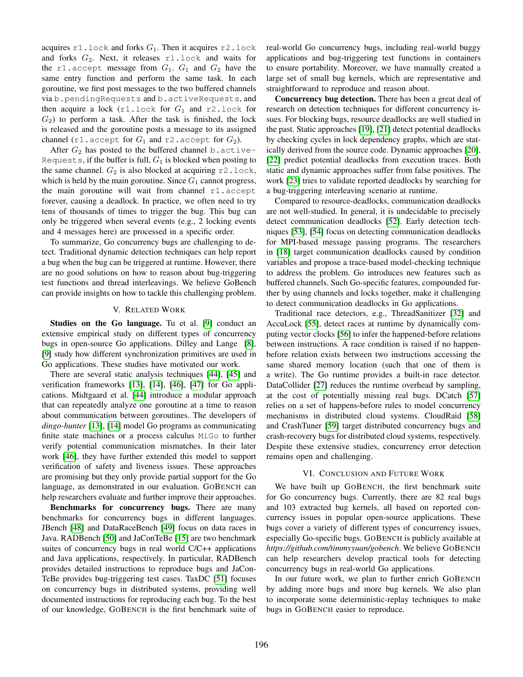acquires  $r1$ . lock and forks  $G_1$ . Then it acquires  $r2$ . lock and forks  $G_2$ . Next, it releases r1.lock and waits for the r1.accept message from  $G_1$ .  $G_1$  and  $G_2$  have the same entry function and perform the same task. In each goroutine, we first post messages to the two buffered channels via b.pendingRequests and b.activeRequests, and then acquire a lock  $(r1.$  lock for  $G_1$  and  $r2.$  lock for  $G_2$ ) to perform a task. After the task is finished, the lock is released and the goroutine posts a message to its assigned channel (r1.accept for  $G_1$  and r2.accept for  $G_2$ ).

After  $G_2$  has posted to the buffered channel b.active-Requests, if the buffer is full,  $G_1$  is blocked when posting to the same channel.  $G_2$  is also blocked at acquiring r2.lock, which is held by the main goroutine. Since  $G_1$  cannot progress, the main goroutine will wait from channel r1.accept forever, causing a deadlock. In practice, we often need to try tens of thousands of times to trigger the bug. This bug can only be triggered when several events (e.g., 2 locking events and 4 messages here) are processed in a specific order.

To summarize, Go concurrency bugs are challenging to detect. Traditional dynamic detection techniques can help report a bug when the bug can be triggered at runtime. However, there are no good solutions on how to reason about bug-triggering test functions and thread interleavings. We believe GoBench can provide insights on how to tackle this challenging problem.

## V. RELATED WORK

<span id="page-9-0"></span>Studies on the Go language. Tu et al. [\[9\]](#page-11-7) conduct an extensive empirical study on different types of concurrency bugs in open-source Go applications. Dilley and Lange [\[8\]](#page-11-6), [\[9\]](#page-11-7) study how different synchronization primitives are used in Go applications. These studies have motivated our work.

There are several static analysis techniques [\[44\]](#page-11-33), [\[45\]](#page-11-34) and verification frameworks [\[13\]](#page-11-29), [\[14\]](#page-11-9), [\[46\]](#page-11-35), [\[47\]](#page-11-36) for Go applications. Midtgaard et al. [\[44\]](#page-11-33) introduce a modular approach that can repeatedly analyze one goroutine at a time to reason about communication between goroutines. The developers of *dingo-hunter* [\[13\]](#page-11-29), [\[14\]](#page-11-9) model Go programs as communicating finite state machines or a process calculus MiGo to further verify potential communication mismatches. In their later work [\[46\]](#page-11-35), they have further extended this model to support verification of safety and liveness issues. These approaches are promising but they only provide partial support for the Go language, as demonstrated in our evaluation. GOBENCH can help researchers evaluate and further improve their approaches.

Benchmarks for concurrency bugs. There are many benchmarks for concurrency bugs in different languages. JBench [\[48\]](#page-11-37) and DataRaceBench [\[49\]](#page-12-0) focus on data races in Java. RADBench [\[50\]](#page-12-1) and JaConTeBe [\[15\]](#page-11-10) are two benchmark suites of concurrency bugs in real world C/C++ applications and Java applications, respectively. In particular, RADBench provides detailed instructions to reproduce bugs and JaCon-TeBe provides bug-triggering test cases. TaxDC [\[51\]](#page-12-2) focuses on concurrency bugs in distributed systems, providing well documented instructions for reproducing each bug. To the best of our knowledge, GOBENCH is the first benchmark suite of real-world Go concurrency bugs, including real-world buggy applications and bug-triggering test functions in containers to ensure portability. Moreover, we have manually created a large set of small bug kernels, which are representative and straightforward to reproduce and reason about.

Concurrency bug detection. There has been a great deal of research on detection techniques for different concurrency issues. For blocking bugs, resource deadlocks are well studied in the past. Static approaches [\[19\]](#page-11-12), [\[21\]](#page-11-38) detect potential deadlocks by checking cycles in lock dependency graphs, which are statically derived from the source code. Dynamic approaches [\[20\]](#page-11-39), [\[22\]](#page-11-40) predict potential deadlocks from execution traces. Both static and dynamic approaches suffer from false positives. The work [\[23\]](#page-11-13) tries to validate reported deadlocks by searching for a bug-triggering interleaving scenario at runtime.

Compared to resource-deadlocks, communication deadlocks are not well-studied. In general, it is undecidable to precisely detect communication deadlocks [\[52\]](#page-12-3). Early detection techniques [\[53\]](#page-12-4), [\[54\]](#page-12-5) focus on detecting communication deadlocks for MPI-based message passing programs. The researchers in [\[18\]](#page-11-11) target communication deadlocks caused by condition variables and propose a trace-based model-checking technique to address the problem. Go introduces new features such as buffered channels. Such Go-specific features, compounded further by using channels and locks together, make it challenging to detect communication deadlocks in Go applications.

Traditional race detectors, e.g., ThreadSanitizer [\[32\]](#page-11-18) and AccuLock [\[55\]](#page-12-6), detect races at runtime by dynamically computing vector clocks [\[56\]](#page-12-7) to infer the happened-before relations between instructions. A race condition is raised if no happenbefore relation exists between two instructions accessing the same shared memory location (such that one of them is a write). The Go runtime provides a built-in race detector. DataCollider [\[27\]](#page-11-17) reduces the runtime overhead by sampling, at the cost of potentially missing real bugs. DCatch [\[57\]](#page-12-8) relies on a set of happens-before rules to model concurrency mechanisms in distributed cloud systems. CloudRaid [\[58\]](#page-12-9) and CrashTuner [\[59\]](#page-12-10) target distributed concurrency bugs and crash-recovery bugs for distributed cloud systems, respectively. Despite these extensive studies, concurrency error detection remains open and challenging.

## VI. CONCLUSION AND FUTURE WORK

<span id="page-9-1"></span>We have built up GOBENCH, the first benchmark suite for Go concurrency bugs. Currently, there are 82 real bugs and 103 extracted bug kernels, all based on reported concurrency issues in popular open-source applications. These bugs cover a variety of different types of concurrency issues, especially Go-specific bugs. GOBENCH is publicly available at *https://github.com/timmyyuan/gobench*. We believe GOBENCH can help researchers develop practical tools for detecting concurrency bugs in real-world Go applications.

In our future work, we plan to further enrich GOBENCH by adding more bugs and more bug kernels. We also plan to incorporate some deterministic-replay techniques to make bugs in GOBENCH easier to reproduce.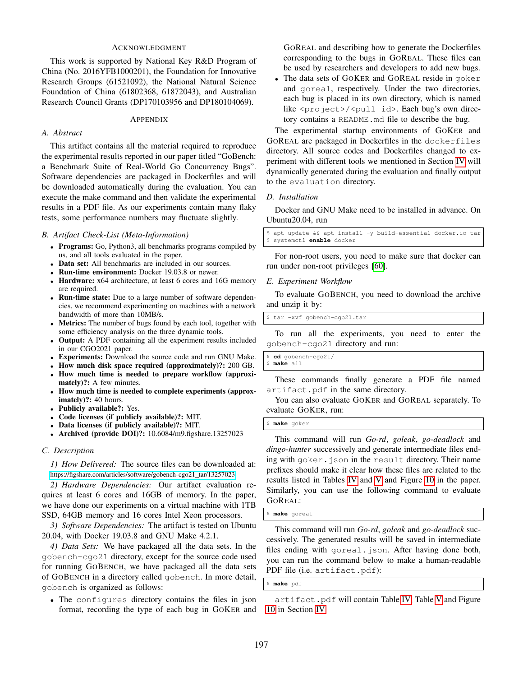# ACKNOWLEDGMENT

This work is supported by National Key R&D Program of China (No. 2016YFB1000201), the Foundation for Innovative Research Groups (61521092), the National Natural Science Foundation of China (61802368, 61872043), and Australian Research Council Grants (DP170103956 and DP180104069).

#### APPENDIX

# *A. Abstract*

This artifact contains all the material required to reproduce the experimental results reported in our paper titled "GoBench: a Benchmark Suite of Real-World Go Concurrency Bugs". Software dependencies are packaged in Dockerfiles and will be downloaded automatically during the evaluation. You can execute the make command and then validate the experimental results in a PDF file. As our experiments contain many flaky tests, some performance numbers may fluctuate slightly.

#### *B. Artifact Check-List (Meta-Information)*

- Programs: Go, Python3, all benchmarks programs compiled by us, and all tools evaluated in the paper.
- Data set: All benchmarks are included in our sources.
- Run-time environment: Docker 19.03.8 or newer.
- Hardware: x64 architecture, at least 6 cores and 16G memory are required.
- Run-time state: Due to a large number of software dependencies, we recommend experimenting on machines with a network bandwidth of more than 10MB/s.
- Metrics: The number of bugs found by each tool, together with some efficiency analysis on the three dynamic tools.
- Output: A PDF containing all the experiment results included in our CGO2021 paper.
- Experiments: Download the source code and run GNU Make.
- How much disk space required (approximately)?: 200 GB.
- How much time is needed to prepare workflow (approximately)?: A few minutes.
- How much time is needed to complete experiments (approximately)?: 40 hours.
- Publicly available?: Yes.
- Code licenses (if publicly available)?: MIT.
- Data licenses (if publicly available)?: MIT.
- Archived (provide DOI)?: 10.6084/m9.figshare.13257023

#### *C. Description*

*1) How Delivered:* The source files can be downloaded at: [https://figshare.com/articles/software/gobench-cgo21](https://figshare.com/articles/software/gobench-cgo21_tar/13257023)\_tar/13257023

*2) Hardware Dependencies:* Our artifact evaluation requires at least 6 cores and 16GB of memory. In the paper, we have done our experiments on a virtual machine with 1TB SSD, 64GB memory and 16 cores Intel Xeon processors.

*3) Software Dependencies:* The artifact is tested on Ubuntu 20.04, with Docker 19.03.8 and GNU Make 4.2.1.

*4) Data Sets:* We have packaged all the data sets. In the gobench-cgo21 directory, except for the source code used for running GOBENCH, we have packaged all the data sets of GOBENCH in a directory called gobench. In more detail, gobench is organized as follows:

• The configures directory contains the files in json format, recording the type of each bug in GOKER and GOREAL and describing how to generate the Dockerfiles corresponding to the bugs in GOREAL. These files can be used by researchers and developers to add new bugs.

The data sets of GOKER and GOREAL reside in goker and goreal, respectively. Under the two directories, each bug is placed in its own directory, which is named like <project>/<pull id>. Each bug's own directory contains a README.md file to describe the bug.

The experimental startup environments of GOKER and GOREAL are packaged in Dockerfiles in the dockerfiles directory. All source codes and Dockerfiles changed to experiment with different tools we mentioned in Section [IV](#page-6-0) will dynamically generated during the evaluation and finally output to the evaluation directory.

#### *D. Installation*

Docker and GNU Make need to be installed in advance. On Ubuntu20.04, run

apt update && apt install -y build-essential docker.io tar \$ systemctl **enable** docker

For non-root users, you need to make sure that docker can run under non-root privileges [\[60\]](#page-12-11).

#### *E. Experiment Workflow*

To evaluate GOBENCH, you need to download the archive and unzip it by:

\$ tar -xvf gobench-cgo21.tar

To run all the experiments, you need to enter the gobench-cgo21 directory and run:

\$ **cd** gobench-cgo21/ \$ **make** all

These commands finally generate a PDF file named artifact.pdf in the same directory.

You can also evaluate GOKER and GOREAL separately. To evaluate GOKER, run:

\$ **make** goker

This command will run *Go-rd*, *goleak*, *go-deadlock* and *dingo-hunter* successively and generate intermediate files ending with goker.json in the result directory. Their name prefixes should make it clear how these files are related to the results listed in Tables [IV](#page-7-1) and [V](#page-7-2) and Figure [10](#page-7-0) in the paper. Similarly, you can use the following command to evaluate GOREAL:

#### \$ **make** goreal

This command will run *Go-rd*, *goleak* and *go-deadlock* successively. The generated results will be saved in intermediate files ending with goreal.json. After having done both, you can run the command below to make a human-readable PDF file (i.e. artifact.pdf):

## \$ **make** pdf

artifact.pdf will contain Table [IV,](#page-7-1) Table [V](#page-7-2) and Figure [10](#page-7-0) in Section [IV.](#page-6-0)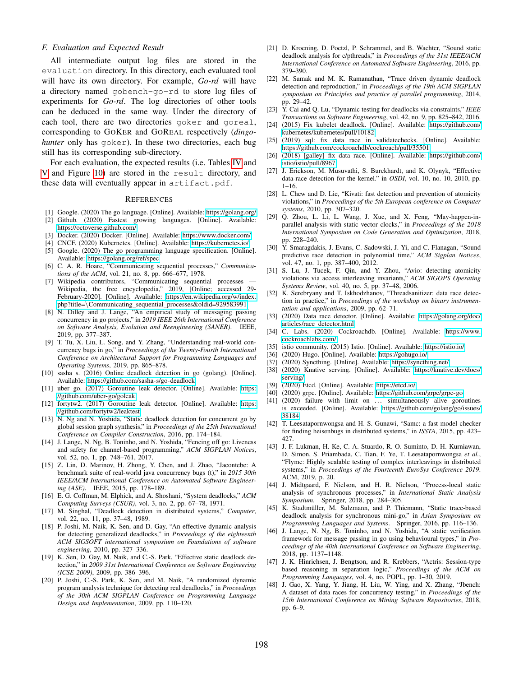## *F. Evaluation and Expected Result*

All intermediate output log files are stored in the evaluation directory. In this directory, each evaluated tool will have its own directory. For example, *Go-rd* will have a directory named gobench-go-rd to store log files of experiments for *Go-rd*. The log directories of other tools can be deduced in the same way. Under the directory of each tool, there are two directories goker and goreal, corresponding to GOKER and GOREAL respectively (*dingohunter* only has goker). In these two directories, each bug still has its corresponding sub-directory.

For each evaluation, the expected results (i.e. Tables [IV](#page-7-1) and [V](#page-7-2) and Figure [10\)](#page-7-0) are stored in the result directory, and these data will eventually appear in artifact.pdf.

## **REFERENCES**

- <span id="page-11-0"></span>[1] Google. (2020) The go language. [Online]. Available:<https://golang.org/>
- <span id="page-11-1"></span>[2] Github. (2020) Fastest growing languages. [Online]. Available: <https://octoverse.github.com/>
- <span id="page-11-2"></span>[3] Docker. (2020) Docker. [Online]. Available:<https://www.docker.com/>
- <span id="page-11-3"></span>[4] CNCF. (2020) Kubernetes. [Online]. Available:<https://kubernetes.io/>
- <span id="page-11-4"></span>[5] Google. (2020) The go programming language specification. [Online]. Available:<https://golang.org/ref/spec>
- [6] C. A. R. Hoare, "Communicating sequential processes," *Communications of the ACM*, vol. 21, no. 8, pp. 666–677, 1978.
- <span id="page-11-5"></span>[7] Wikipedia contributors, "Communicating sequential processes Wikipedia, the free encyclopedia," 2019, [Online; accessed 29- February-2020]. [Online]. Available: [https://en.wikipedia.org/w/index.](https://en.wikipedia.org/w/index.php?title=\Communicating_sequential_processes&oldid=929583991) php?title=\Communicating sequential [processes&oldid=929583991](https://en.wikipedia.org/w/index.php?title=\Communicating_sequential_processes&oldid=929583991)
- <span id="page-11-6"></span>[8] N. Dilley and J. Lange, "An empirical study of messaging passing concurrency in go projects," in *2019 IEEE 26th International Conference on Software Analysis, Evolution and Reengineering (SANER)*. IEEE, 2019, pp. 377–387.
- <span id="page-11-7"></span>[9] T. Tu, X. Liu, L. Song, and Y. Zhang, "Understanding real-world concurrency bugs in go," in *Proceedings of the Twenty-Fourth International Conference on Architectural Support for Programming Languages and Operating Systems*, 2019, pp. 865–878.
- <span id="page-11-8"></span>[10] sasha s. (2016) Online deadlock detection in go (golang). [Online]. Available:<https://github.com/sasha-s/go-deadlock>
- <span id="page-11-27"></span>[11] uber go. (2017) Goroutine leak detector. [Online]. Available: [https:](https://github.com/uber-go/goleak) [//github.com/uber-go/goleak](https://github.com/uber-go/goleak)
- <span id="page-11-28"></span>[12] fortytw2. (2017) Goroutine leak detector. [Online]. Available: [https:](https://github.com/fortytw2/leaktest) [//github.com/fortytw2/leaktest](https://github.com/fortytw2/leaktest)
- <span id="page-11-29"></span>[13] N. Ng and N. Yoshida, "Static deadlock detection for concurrent go by global session graph synthesis," in *Proceedings of the 25th International Conference on Compiler Construction*, 2016, pp. 174–184.
- <span id="page-11-9"></span>[14] J. Lange, N. Ng, B. Toninho, and N. Yoshida, "Fencing off go: Liveness and safety for channel-based programming," *ACM SIGPLAN Notices*, vol. 52, no. 1, pp. 748–761, 2017.
- <span id="page-11-10"></span>[15] Z. Lin, D. Marinov, H. Zhong, Y. Chen, and J. Zhao, "Jacontebe: A benchmark suite of real-world java concurrency bugs (t)," in *2015 30th IEEE/ACM International Conference on Automated Software Engineering (ASE)*. IEEE, 2015, pp. 178–189.
- [16] E. G. Coffman, M. Elphick, and A. Shoshani, "System deadlocks," *ACM Computing Surveys (CSUR)*, vol. 3, no. 2, pp. 67–78, 1971.
- [17] M. Singhal, "Deadlock detection in distributed systems," *Computer*, vol. 22, no. 11, pp. 37–48, 1989.
- <span id="page-11-11"></span>[18] P. Joshi, M. Naik, K. Sen, and D. Gay, "An effective dynamic analysis for detecting generalized deadlocks," in *Proceedings of the eighteenth ACM SIGSOFT international symposium on Foundations of software engineering*, 2010, pp. 327–336.
- <span id="page-11-12"></span>[19] K. Sen, D. Gay, M. Naik, and C.-S. Park, "Effective static deadlock detection," in *2009 31st International Conference on Software Engineering (ICSE 2009)*, 2009, pp. 386–396.
- <span id="page-11-39"></span>[20] P. Joshi, C.-S. Park, K. Sen, and M. Naik, "A randomized dynamic program analysis technique for detecting real deadlocks," in *Proceedings of the 30th ACM SIGPLAN Conference on Programming Language Design and Implementation*, 2009, pp. 110–120.
- <span id="page-11-38"></span>[21] D. Kroening, D. Poetzl, P. Schrammel, and B. Wachter, "Sound static deadlock analysis for c/pthreads," in *Proceedings of the 31st IEEE/ACM International Conference on Automated Software Engineering*, 2016, pp. 379–390.
- <span id="page-11-40"></span>[22] M. Samak and M. K. Ramanathan, "Trace driven dynamic deadlock detection and reproduction," in *Proceedings of the 19th ACM SIGPLAN symposium on Principles and practice of parallel programming*, 2014, pp. 29–42.
- <span id="page-11-13"></span>[23] Y. Cai and Q. Lu, "Dynamic testing for deadlocks via constraints," *IEEE Transactions on Software Engineering*, vol. 42, no. 9, pp. 825–842, 2016.
- <span id="page-11-14"></span>[24] (2015) Fix kubelet deadlock. [Online]. Available: [https://github.com/](https://github.com/kubernetes/kubernetes/pull/10182) [kubernetes/kubernetes/pull/10182](https://github.com/kubernetes/kubernetes/pull/10182)
- <span id="page-11-15"></span>[25] (2019) sql: fix data race in validatechecks. [Online]. Available: <https://github.com/cockroachdb/cockroach/pull/35501>
- <span id="page-11-16"></span>[26] (2018) [galley] fix data race. [Online]. Available: [https://github.com/](https://github.com/istio/istio/pull/8967) [istio/istio/pull/8967](https://github.com/istio/istio/pull/8967)
- <span id="page-11-17"></span>[27] J. Erickson, M. Musuvathi, S. Burckhardt, and K. Olynyk, "Effective data-race detection for the kernel." in *OSDI*, vol. 10, no. 10, 2010, pp.  $1 - 16$ .
- [28] L. Chew and D. Lie, "Kivati: fast detection and prevention of atomicity violations," in *Proceedings of the 5th European conference on Computer systems*, 2010, pp. 307–320.
- [29] Q. Zhou, L. Li, L. Wang, J. Xue, and X. Feng, "May-happen-inparallel analysis with static vector clocks," in *Proceedings of the 2018 International Symposium on Code Generation and Optimization*, 2018, pp. 228–240.
- [30] Y. Smaragdakis, J. Evans, C. Sadowski, J. Yi, and C. Flanagan, "Sound predictive race detection in polynomial time," *ACM Sigplan Notices*, vol. 47, no. 1, pp. 387–400, 2012.
- [31] S. Lu, J. Tucek, F. Qin, and Y. Zhou, "Avio: detecting atomicity violations via access interleaving invariants," *ACM SIGOPS Operating Systems Review*, vol. 40, no. 5, pp. 37–48, 2006.
- <span id="page-11-18"></span>[32] K. Serebryany and T. Iskhodzhanov, "Threadsanitizer: data race detection in practice," in *Proceedings of the workshop on binary instrumentation and applications*, 2009, pp. 62–71.
- <span id="page-11-19"></span>[33] (2020) Data race detector. [Online]. Available: [https://golang.org/doc/](https://golang.org/doc/articles/race_detector.html) articles/race [detector.html](https://golang.org/doc/articles/race_detector.html)
- <span id="page-11-20"></span>[34] C. Labs. (2020) Cockroachdb. [Online]. Available: [https://www.](https://www.cockroachlabs.com/) [cockroachlabs.com/](https://www.cockroachlabs.com/)
- <span id="page-11-21"></span>[35] istio community. (2015) Istio. [Online]. Available:<https://istio.io/>
- <span id="page-11-22"></span>[36] (2020) Hugo. [Online]. Available:<https://gohugo.io/>
- <span id="page-11-23"></span>[37] (2020) Syncthing. [Online]. Available:<https://syncthing.net/>
- <span id="page-11-24"></span>[38] (2020) Knative serving. [Online]. Available: [https://knative.dev/docs/](https://knative.dev/docs/serving/) [serving/](https://knative.dev/docs/serving/)
- <span id="page-11-25"></span>[39] (2020) Etcd. [Online]. Available:<https://etcd.io/>
- <span id="page-11-26"></span>[40] (2020) grpc. [Online]. Available:<https://github.com/grpc/grpc-go>
- <span id="page-11-30"></span>[41] (2020) failure with limit on ... simultaneously alive goroutines is exceeded. [Online]. Available: [https://github.com/golang/go/issues/](https://github.com/golang/go/issues/38184) [38184](https://github.com/golang/go/issues/38184)
- <span id="page-11-31"></span>[42] T. Leesatapornwongsa and H. S. Gunawi, "Samc: a fast model checker for finding heisenbugs in distributed systems," in *ISSTA*, 2015, pp. 423– 427.
- <span id="page-11-32"></span>[43] J. F. Lukman, H. Ke, C. A. Stuardo, R. O. Suminto, D. H. Kurniawan, D. Simon, S. Priambada, C. Tian, F. Ye, T. Leesatapornwongsa *et al.*, "Flymc: Highly scalable testing of complex interleavings in distributed systems," in *Proceedings of the Fourteenth EuroSys Conference 2019*. ACM, 2019, p. 20.
- <span id="page-11-33"></span>[44] J. Midtgaard, F. Nielson, and H. R. Nielson, "Process-local static analysis of synchronous processes," in *International Static Analysis Symposium*. Springer, 2018, pp. 284–305.
- <span id="page-11-34"></span>[45] K. Stadtmüller, M. Sulzmann, and P. Thiemann, "Static trace-based deadlock analysis for synchronous mini-go," in *Asian Symposium on Programming Languages and Systems*. Springer, 2016, pp. 116–136.
- <span id="page-11-35"></span>[46] J. Lange, N. Ng, B. Toninho, and N. Yoshida, "A static verification framework for message passing in go using behavioural types," in *Proceedings of the 40th International Conference on Software Engineering*, 2018, pp. 1137–1148.
- <span id="page-11-36"></span>[47] J. K. Hinrichsen, J. Bengtson, and R. Krebbers, "Actris: Session-type based reasoning in separation logic," *Proceedings of the ACM on Programming Languages*, vol. 4, no. POPL, pp. 1–30, 2019.
- <span id="page-11-37"></span>[48] J. Gao, X. Yang, Y. Jiang, H. Liu, W. Ying, and X. Zhang, "Jbench: A dataset of data races for concurrency testing," in *Proceedings of the 15th International Conference on Mining Software Repositories*, 2018, pp. 6–9.